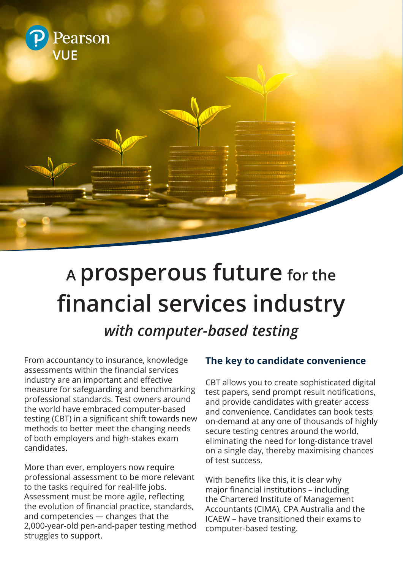

# **<sup>A</sup> prosperous future for the financial services industry**

*with computer-based testing*

From accountancy to insurance, knowledge assessments within the financial services industry are an important and effective measure for safeguarding and benchmarking professional standards. Test owners around the world have embraced computer-based testing (CBT) in a significant shift towards new methods to better meet the changing needs of both employers and high-stakes exam candidates.

More than ever, employers now require professional assessment to be more relevant to the tasks required for real-life jobs. Assessment must be more agile, reflecting the evolution of financial practice, standards, and competencies — changes that the 2,000-year-old pen-and-paper testing method struggles to support.

## **The key to candidate convenience**

CBT allows you to create sophisticated digital test papers, send prompt result notifications, and provide candidates with greater access and convenience. Candidates can book tests on-demand at any one of thousands of highly secure testing centres around the world, eliminating the need for long-distance travel on a single day, thereby maximising chances of test success.

With benefits like this, it is clear why major financial institutions – including the Chartered Institute of Management Accountants (CIMA), CPA Australia and the ICAEW – have transitioned their exams to computer-based testing.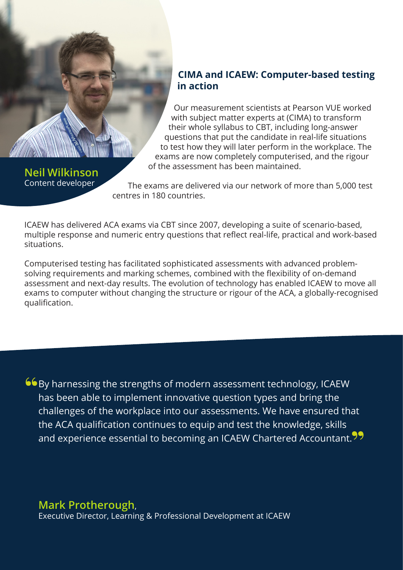#### **CIMA and ICAEW: Computer-based testing in action**

Our measurement scientists at Pearson VUE worked with subject matter experts at (CIMA) to transform their whole syllabus to CBT, including long-answer questions that put the candidate in real-life situations to test how they will later perform in the workplace. The exams are now completely computerised, and the rigour of the assessment has been maintained.

**Neil Wilkinson** Content developer

The exams are delivered via our network of more than 5,000 test centres in 180 countries.

ICAEW has delivered ACA exams via CBT since 2007, developing a suite of scenario-based, multiple response and numeric entry questions that reflect real-life, practical and work-based situations.

Computerised testing has facilitated sophisticated assessments with advanced problemsolving requirements and marking schemes, combined with the flexibility of on-demand assessment and next-day results. The evolution of technology has enabled ICAEW to move all exams to computer without changing the structure or rigour of the ACA, a globally-recognised qualification.

By harnessing the strengths of modern assessment technology, ICAEW has been able to implement innovative question types and bring the challenges of the workplace into our assessments. We have ensured that the ACA qualification continues to equip and test the knowledge, skills and experience essential to becoming an ICAEW Chartered Accountant.<sup>99</sup>

**Mark Protherough**,

Executive Director, Learning & Professional Development at ICAEW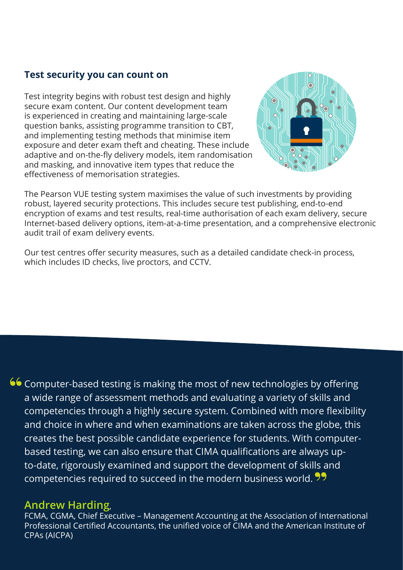#### **Test security you can count on**

Test integrity begins with robust test design and highly secure exam content. Our content development team is experienced in creating and maintaining large-scale question banks, assisting programme transition to CBT, and implementing testing methods that minimise item exposure and deter exam theft and cheating. These include adaptive and on-the-fly delivery models, item randomisation and masking, and innovative item types that reduce the effectiveness of memorisation strategies.



The Pearson VUE testing system maximises the value of such investments by providing robust, layered security protections. This includes secure test publishing, end-to-end encryption of exams and test results, real-time authorisation of each exam delivery, secure Internet-based delivery options, item-at-a-time presentation, and a comprehensive electronic audit trail of exam delivery events.

Our test centres offer security measures, such as a detailed candidate check-in process, which includes ID checks, live proctors, and CCTV.

66 Computer-based testing is making the most of new technologies by offering a wide range of assessment methods and evaluating a variety of skills and competencies through a highly secure system. Combined with more flexibility and choice in where and when examinations are taken across the globe, this creates the best possible candidate experience for students. With computerbased testing, we can also ensure that CIMA qualifications are always upto-date, rigorously examined and support the development of skills and competencies required to succeed in the modern business world.<sup>99</sup>

#### **Andrew Harding**,

FCMA, CGMA, Chief Executive – Management Accounting at the Association of International Professional Certified Accountants, the unified voice of CIMA and the American Institute of CPAs (AICPA)